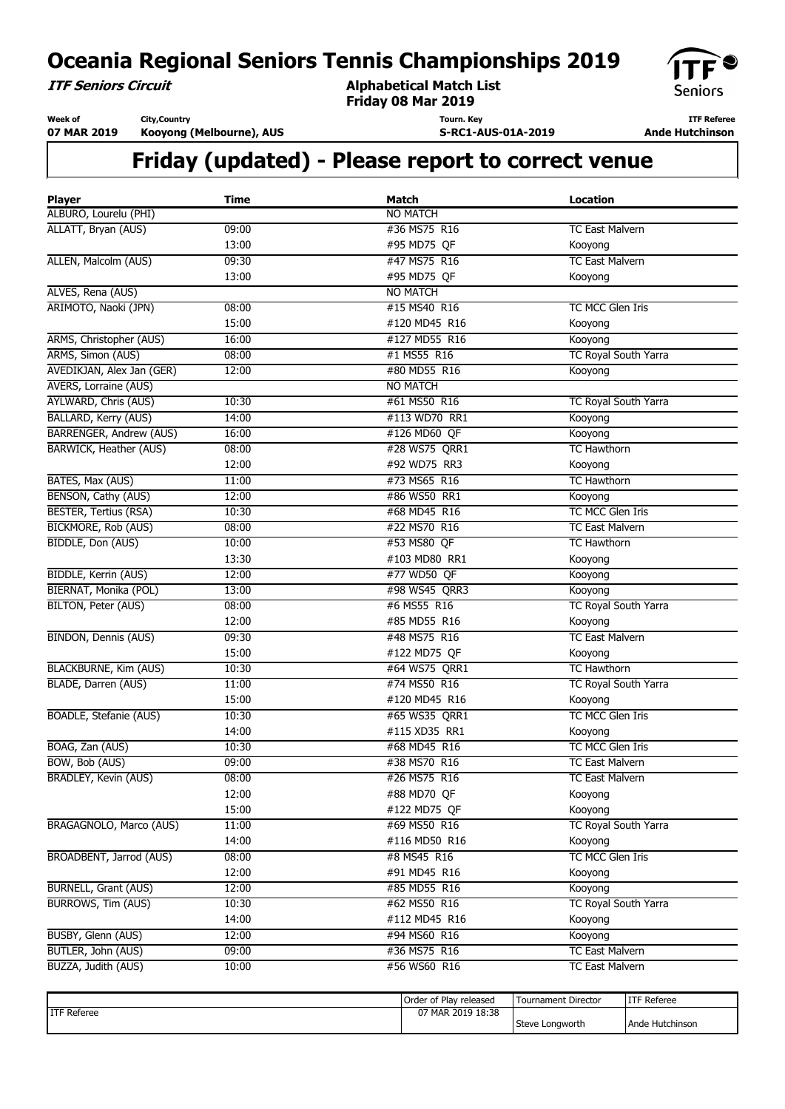**ITF Seniors Circuit**

**Alphabetical Match List Friday 08 Mar 2019**



**Week of 07 MAR 2019 City,Country**

**Kooyong (Melbourne), AUS**

**Tourn. Key S-RC1-AUS-01A-2019**

**ITF Referee Ande Hutchinson** 

| <b>Player</b>                 | <b>Time</b> | <b>Match</b>    | <b>Location</b>        |
|-------------------------------|-------------|-----------------|------------------------|
| ALBURO, Lourelu (PHI)         |             | <b>NO MATCH</b> |                        |
| ALLATT, Bryan (AUS)           | 09:00       | #36 MS75 R16    | <b>TC East Malvern</b> |
|                               | 13:00       | #95 MD75 QF     | Kooyong                |
| ALLEN, Malcolm (AUS)          | 09:30       | #47 MS75 R16    | <b>TC East Malvern</b> |
|                               | 13:00       | #95 MD75 QF     | Kooyong                |
| ALVES, Rena (AUS)             |             | <b>NO MATCH</b> |                        |
| ARIMOTO, Naoki (JPN)          | 08:00       | #15 MS40 R16    | TC MCC Glen Iris       |
|                               | 15:00       | #120 MD45 R16   | Kooyong                |
| ARMS, Christopher (AUS)       | 16:00       | #127 MD55 R16   | Kooyong                |
| ARMS, Simon (AUS)             | 08:00       | #1 MS55 R16     | TC Royal South Yarra   |
| AVEDIKJAN, Alex Jan (GER)     | 12:00       | #80 MD55 R16    | Kooyong                |
| <b>AVERS, Lorraine (AUS)</b>  |             | <b>NO MATCH</b> |                        |
| <b>AYLWARD, Chris (AUS)</b>   | 10:30       | #61 MS50 R16    | TC Royal South Yarra   |
| BALLARD, Kerry (AUS)          | 14:00       | #113 WD70 RR1   | Kooyong                |
| BARRENGER, Andrew (AUS)       | 16:00       | #126 MD60 QF    | Kooyong                |
| <b>BARWICK, Heather (AUS)</b> | 08:00       | #28 WS75 QRR1   | <b>TC Hawthorn</b>     |
|                               | 12:00       | #92 WD75 RR3    | Kooyong                |
| BATES, Max (AUS)              | 11:00       | #73 MS65 R16    | <b>TC Hawthorn</b>     |
| BENSON, Cathy (AUS)           | 12:00       | #86 WS50 RR1    | Kooyong                |
| <b>BESTER, Tertius (RSA)</b>  | 10:30       | #68 MD45 R16    | TC MCC Glen Iris       |
| <b>BICKMORE, Rob (AUS)</b>    | 08:00       | #22 MS70 R16    | <b>TC East Malvern</b> |
| BIDDLE, Don (AUS)             | 10:00       | #53 MS80 QF     | <b>TC Hawthorn</b>     |
|                               | 13:30       | #103 MD80 RR1   | Kooyong                |
| <b>BIDDLE, Kerrin (AUS)</b>   | 12:00       | #77 WD50 QF     | Kooyong                |
| BIERNAT, Monika (POL)         | 13:00       | #98 WS45 QRR3   | Kooyong                |
| <b>BILTON, Peter (AUS)</b>    | 08:00       | #6 MS55 R16     | TC Royal South Yarra   |
|                               | 12:00       | #85 MD55 R16    | Kooyong                |
| <b>BINDON, Dennis (AUS)</b>   | 09:30       | #48 MS75 R16    | <b>TC East Malvern</b> |
|                               | 15:00       | #122 MD75 QF    | Kooyong                |
| <b>BLACKBURNE, Kim (AUS)</b>  | 10:30       | #64 WS75 QRR1   | <b>TC Hawthorn</b>     |
| BLADE, Darren (AUS)           | 11:00       | #74 MS50 R16    | TC Royal South Yarra   |
|                               | 15:00       | #120 MD45 R16   | Kooyong                |
| BOADLE, Stefanie (AUS)        | 10:30       | #65 WS35 QRR1   | TC MCC Glen Iris       |
|                               | 14:00       | #115 XD35 RR1   | Kooyong                |
| BOAG, Zan (AUS)               | 10:30       | #68 MD45 R16    | TC MCC Glen Iris       |
| BOW, Bob (AUS)                | 09:00       | #38 MS70 R16    | <b>TC East Malvern</b> |
| <b>BRADLEY, Kevin (AUS)</b>   | 08:00       | #26 MS75 R16    | <b>TC East Malvern</b> |
|                               | 12:00       | #88 MD70 QF     | Kooyong                |
|                               | 15:00       | #122 MD75 QF    | Kooyong                |
| BRAGAGNOLO, Marco (AUS)       | 11:00       | #69 MS50 R16    | TC Royal South Yarra   |
|                               | 14:00       | #116 MD50 R16   | Kooyong                |
| BROADBENT, Jarrod (AUS)       | 08:00       | #8 MS45 R16     | TC MCC Glen Iris       |
|                               | 12:00       | #91 MD45 R16    | Kooyong                |
| <b>BURNELL, Grant (AUS)</b>   | 12:00       | #85 MD55 R16    | Kooyong                |
| <b>BURROWS, Tim (AUS)</b>     | 10:30       | #62 MS50 R16    | TC Royal South Yarra   |
|                               | 14:00       | #112 MD45 R16   | Kooyong                |
| BUSBY, Glenn (AUS)            | 12:00       | #94 MS60 R16    | Kooyong                |
| BUTLER, John (AUS)            | 09:00       | #36 MS75 R16    | <b>TC East Malvern</b> |
| BUZZA, Judith (AUS)           | 10:00       | #56 WS60 R16    | <b>TC East Malvern</b> |

|              | Order of Play released | Tournament Director | ITF Referee       |
|--------------|------------------------|---------------------|-------------------|
| IITF Referee | 07 MAR 2019 18:38      |                     |                   |
|              |                        | Steve Longworth     | l Ande Hutchinson |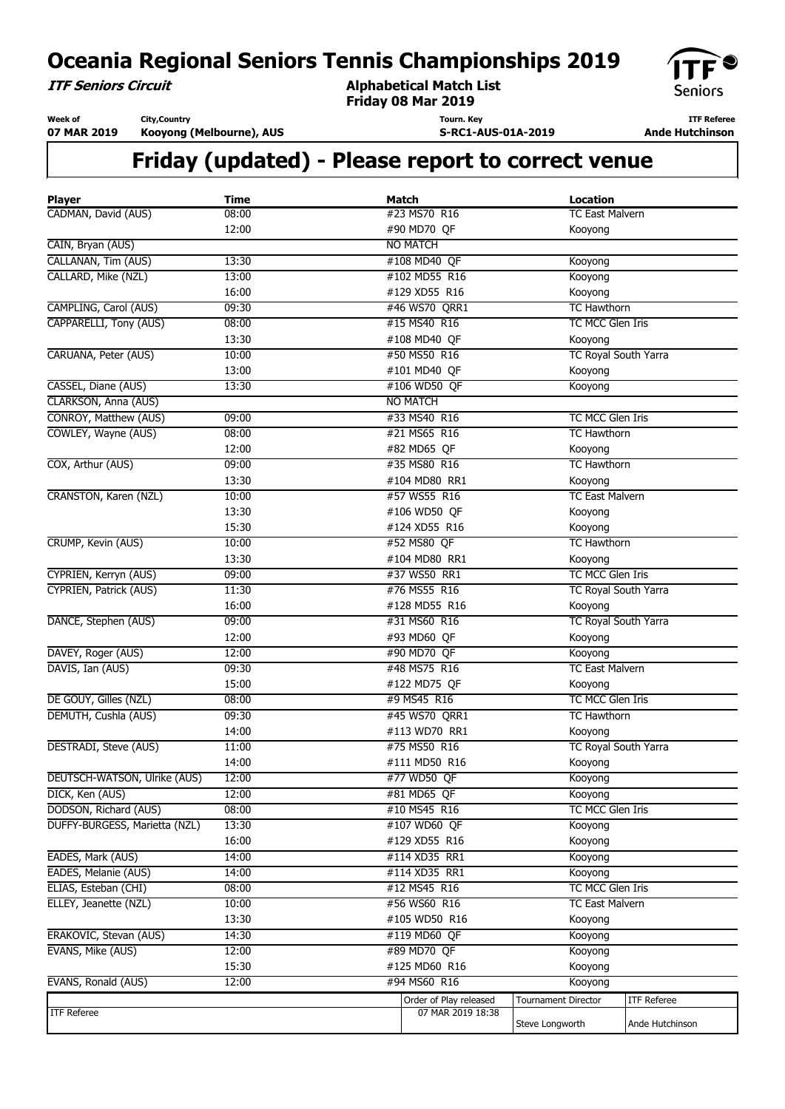**ITF Seniors Circuit**

**Alphabetical Match List Friday 08 Mar 2019**



**Week of 07 MAR 2019 City,Country**

**Kooyong (Melbourne), AUS**

**Tourn. Key S-RC1-AUS-01A-2019**

**ITF Referee Ande Hutchinson** 

| <b>Player</b>                 | <b>Time</b> | <b>Match</b>           | <b>Location</b>            |                    |  |
|-------------------------------|-------------|------------------------|----------------------------|--------------------|--|
| CADMAN, David (AUS)           | 08:00       | #23 MS70 R16           | <b>TC East Malvern</b>     |                    |  |
|                               | 12:00       | #90 MD70 QF            | Kooyong                    |                    |  |
| CAIN, Bryan (AUS)             |             | <b>NO MATCH</b>        |                            |                    |  |
| CALLANAN, Tim (AUS)           | 13:30       | #108 MD40 QF           | Kooyong                    |                    |  |
| CALLARD, Mike (NZL)           | 13:00       | #102 MD55 R16          | Kooyong                    |                    |  |
|                               | 16:00       | #129 XD55 R16          | Kooyong                    |                    |  |
| CAMPLING, Carol (AUS)         | 09:30       | #46 WS70 QRR1          | <b>TC Hawthorn</b>         |                    |  |
| CAPPARELLI, Tony (AUS)        | 08:00       | #15 MS40 R16           | TC MCC Glen Iris           |                    |  |
|                               | 13:30       | #108 MD40 QF           | Kooyong                    |                    |  |
| CARUANA, Peter (AUS)          | 10:00       | #50 MS50 R16           | TC Royal South Yarra       |                    |  |
|                               | 13:00       | #101 MD40 QF           | Kooyong                    |                    |  |
| CASSEL, Diane (AUS)           | 13:30       | #106 WD50 QF           | Kooyong                    |                    |  |
| CLARKSON, Anna (AUS)          |             | <b>NO MATCH</b>        |                            |                    |  |
| CONROY, Matthew (AUS)         | 09:00       | #33 MS40 R16           | TC MCC Glen Iris           |                    |  |
| COWLEY, Wayne (AUS)           | 08:00       | #21 MS65 R16           | <b>TC Hawthorn</b>         |                    |  |
|                               | 12:00       | #82 MD65 QF            | Kooyong                    |                    |  |
| COX, Arthur (AUS)             | 09:00       | #35 MS80 R16           | <b>TC Hawthorn</b>         |                    |  |
|                               | 13:30       | #104 MD80 RR1          | Kooyong                    |                    |  |
| <b>CRANSTON, Karen (NZL)</b>  | 10:00       | #57 WS55 R16           | <b>TC East Malvern</b>     |                    |  |
|                               | 13:30       | #106 WD50 QF           | Kooyong                    |                    |  |
|                               | 15:30       | #124 XD55 R16          | Kooyong                    |                    |  |
| CRUMP, Kevin (AUS)            | 10:00       | #52 MS80 QF            | <b>TC Hawthorn</b>         |                    |  |
|                               | 13:30       | #104 MD80 RR1          | Kooyong                    |                    |  |
| CYPRIEN, Kerryn (AUS)         | 09:00       | #37 WS50 RR1           | TC MCC Glen Iris           |                    |  |
| <b>CYPRIEN, Patrick (AUS)</b> | 11:30       | #76 MS55 R16           | TC Royal South Yarra       |                    |  |
|                               | 16:00       | #128 MD55 R16          | Kooyong                    |                    |  |
| DANCE, Stephen (AUS)          | 09:00       | #31 MS60 R16           | TC Royal South Yarra       |                    |  |
|                               | 12:00       | #93 MD60 QF            | Kooyong                    |                    |  |
| DAVEY, Roger (AUS)            | 12:00       | #90 MD70 QF            | Kooyong                    |                    |  |
| DAVIS, Ian (AUS)              | 09:30       | #48 MS75 R16           | <b>TC East Malvern</b>     |                    |  |
|                               | 15:00       | #122 MD75 QF           | Kooyong                    |                    |  |
| DE GOUY, Gilles (NZL)         | 08:00       | #9 MS45 R16            | TC MCC Glen Iris           |                    |  |
| DEMUTH, Cushla (AUS)          | 09:30       | #45 WS70 QRR1          | <b>TC Hawthorn</b>         |                    |  |
|                               | 14:00       | #113 WD70 RR1          | Kooyong                    |                    |  |
| DESTRADI, Steve (AUS)         | 11:00       | #75 MS50 R16           | TC Royal South Yarra       |                    |  |
|                               | 14:00       | #111 MD50 R16          | Kooyong                    |                    |  |
| DEUTSCH-WATSON, Ulrike (AUS)  | 12:00       | #77 WD50 QF            | Kooyong                    |                    |  |
| DICK, Ken (AUS)               | 12:00       | #81 MD65 QF            | Kooyong                    |                    |  |
| DODSON, Richard (AUS)         | 08:00       | #10 MS45 R16           | TC MCC Glen Iris           |                    |  |
| DUFFY-BURGESS, Marietta (NZL) | 13:30       | #107 WD60 QF           | Kooyong                    |                    |  |
|                               | 16:00       | #129 XD55 R16          | Kooyong                    |                    |  |
| EADES, Mark (AUS)             | 14:00       | #114 XD35 RR1          | Kooyong                    |                    |  |
| EADES, Melanie (AUS)          | 14:00       | #114 XD35 RR1          | Kooyong                    |                    |  |
| ELIAS, Esteban (CHI)          | 08:00       | #12 MS45 R16           | TC MCC Glen Iris           |                    |  |
| ELLEY, Jeanette (NZL)         | 10:00       | #56 WS60 R16           | <b>TC East Malvern</b>     |                    |  |
|                               | 13:30       | #105 WD50 R16          | Kooyong                    |                    |  |
| ERAKOVIC, Stevan (AUS)        | 14:30       | #119 MD60 QF           | Kooyong                    |                    |  |
| EVANS, Mike (AUS)             | 12:00       | #89 MD70 QF            | Kooyong                    |                    |  |
|                               | 15:30       | #125 MD60 R16          | Kooyong                    |                    |  |
| EVANS, Ronald (AUS)           | 12:00       | #94 MS60 R16           | Kooyong                    |                    |  |
|                               |             | Order of Play released | <b>Tournament Director</b> | <b>ITF Referee</b> |  |
| <b>ITF Referee</b>            |             | 07 MAR 2019 18:38      |                            |                    |  |
|                               |             |                        | Steve Longworth            | Ande Hutchinson    |  |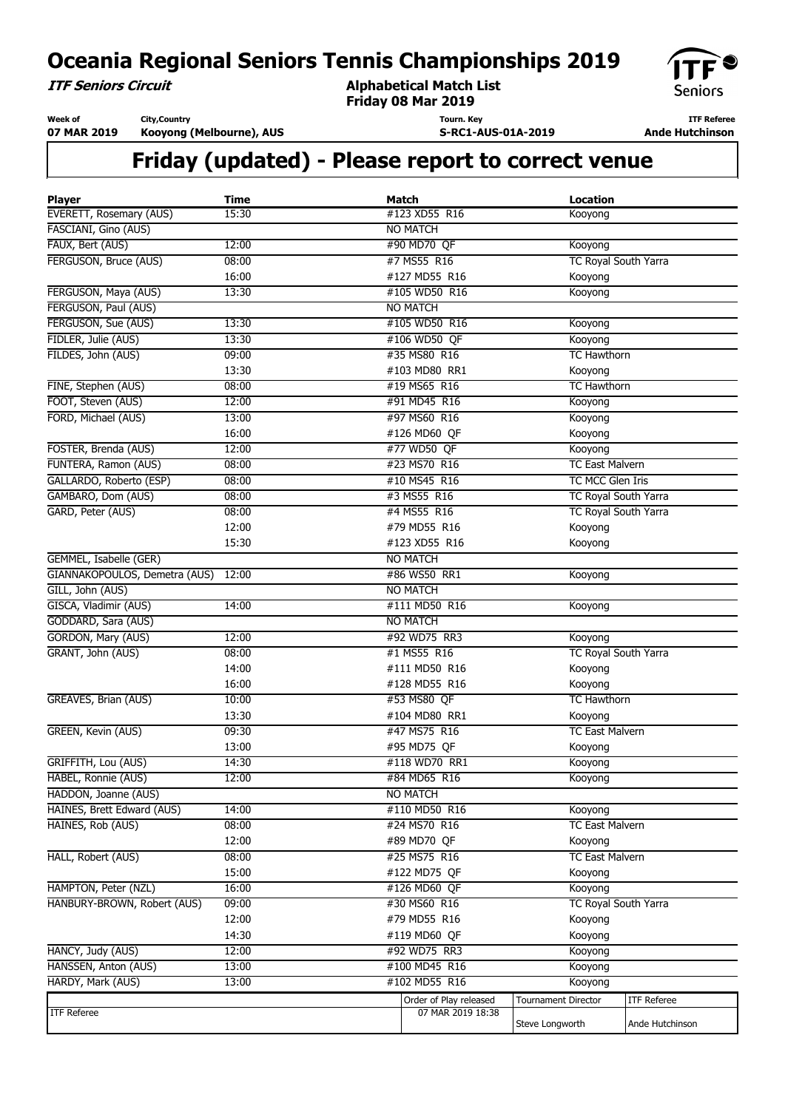**ITF Seniors Circuit**

**Alphabetical Match List Friday 08 Mar 2019**



**Week of 07 MAR 2019 City,Country Kooyong (Melbourne), AUS**

**Tourn. Key S-RC1-AUS-01A-2019**

**ITF Referee Ande Hutchinson** 

| <b>Player</b>                       | <b>Time</b> | <b>Match</b>           | <b>Location</b>                 |                    |
|-------------------------------------|-------------|------------------------|---------------------------------|--------------------|
| EVERETT, Rosemary (AUS)             | 15:30       | #123 XD55 R16          | Kooyong                         |                    |
| FASCIANI, Gino (AUS)                |             | <b>NO MATCH</b>        |                                 |                    |
| FAUX, Bert (AUS)                    | 12:00       | #90 MD70 QF            | Kooyong                         |                    |
| FERGUSON, Bruce (AUS)               | 08:00       | #7 MS55 R16            | TC Royal South Yarra            |                    |
|                                     | 16:00       | #127 MD55 R16          | Kooyong                         |                    |
| FERGUSON, Maya (AUS)                | 13:30       | #105 WD50 R16          | Kooyong                         |                    |
| FERGUSON, Paul (AUS)                |             | <b>NO MATCH</b>        |                                 |                    |
| FERGUSON, Sue (AUS)                 | 13:30       | #105 WD50 R16          | Kooyong                         |                    |
| FIDLER, Julie (AUS)                 | 13:30       | #106 WD50 QF           | Kooyong                         |                    |
| FILDES, John (AUS)                  | 09:00       | #35 MS80 R16           | <b>TC Hawthorn</b>              |                    |
|                                     | 13:30       | #103 MD80 RR1          | Kooyong                         |                    |
| FINE, Stephen (AUS)                 | 08:00       | #19 MS65 R16           | <b>TC Hawthorn</b>              |                    |
| FOOT, Steven (AUS)                  | 12:00       | #91 MD45 R16           | Kooyong                         |                    |
| FORD, Michael (AUS)                 | 13:00       | #97 MS60 R16           | Kooyong                         |                    |
|                                     | 16:00       | #126 MD60 QF           | Kooyong                         |                    |
| FOSTER, Brenda (AUS)                | 12:00       | #77 WD50 QF            | Kooyong                         |                    |
| FUNTERA, Ramon (AUS)                | 08:00       | #23 MS70 R16           | <b>TC East Malvern</b>          |                    |
| GALLARDO, Roberto (ESP)             | 08:00       | #10 MS45 R16           | TC MCC Glen Iris                |                    |
| GAMBARO, Dom (AUS)                  | 08:00       | #3 MS55 R16            | TC Royal South Yarra            |                    |
| GARD, Peter (AUS)                   | 08:00       | #4 MS55 R16            | TC Royal South Yarra            |                    |
|                                     | 12:00       | #79 MD55 R16           | Kooyong                         |                    |
|                                     | 15:30       | #123 XD55 R16          | Kooyong                         |                    |
| GEMMEL, Isabelle (GER)              |             | <b>NO MATCH</b>        |                                 |                    |
| GIANNAKOPOULOS, Demetra (AUS) 12:00 |             | #86 WS50 RR1           | Kooyong                         |                    |
| GILL, John (AUS)                    |             | <b>NO MATCH</b>        |                                 |                    |
| GISCA, Vladimir (AUS)               | 14:00       | #111 MD50 R16          | Kooyong                         |                    |
| GODDARD, Sara (AUS)                 |             | <b>NO MATCH</b>        |                                 |                    |
| GORDON, Mary (AUS)                  | 12:00       | #92 WD75 RR3           | Kooyong                         |                    |
| GRANT, John (AUS)                   | 08:00       | #1 MS55 R16            | TC Royal South Yarra            |                    |
|                                     | 14:00       | #111 MD50 R16          | Kooyong                         |                    |
|                                     | 16:00       | #128 MD55 R16          | Kooyong                         |                    |
| GREAVES, Brian (AUS)                | 10:00       | #53 MS80 QF            | <b>TC Hawthorn</b>              |                    |
|                                     | 13:30       | #104 MD80 RR1          | Kooyong                         |                    |
| GREEN, Kevin (AUS)                  | 09:30       | #47 MS75 R16           | <b>TC East Malvern</b>          |                    |
|                                     | 13:00       | #95 MD75 QF            | Kooyong                         |                    |
| GRIFFITH, Lou (AUS)                 | 14:30       | #118 WD70 RR1          | Kooyong                         |                    |
| HABEL, Ronnie (AUS)                 | 12:00       | #84 MD65 R16           | Kooyong                         |                    |
| HADDON, Joanne (AUS)                |             | <b>NO MATCH</b>        |                                 |                    |
| HAINES, Brett Edward (AUS)          | 14:00       | #110 MD50 R16          | Kooyong                         |                    |
| HAINES, Rob (AUS)                   | 08:00       | #24 MS70 R16           | <b>TC East Malvern</b>          |                    |
|                                     | 12:00       | #89 MD70 QF            | Kooyong                         |                    |
| HALL, Robert (AUS)                  | 08:00       | #25 MS75 R16           | <b>TC East Malvern</b>          |                    |
|                                     | 15:00       | #122 MD75 QF           | Kooyong                         |                    |
| HAMPTON, Peter (NZL)                | 16:00       | #126 MD60 QF           |                                 |                    |
| HANBURY-BROWN, Robert (AUS)         | 09:00       | #30 MS60 R16           | Kooyong<br>TC Royal South Yarra |                    |
|                                     |             | #79 MD55 R16           |                                 |                    |
|                                     | 12:00       |                        | Kooyong                         |                    |
|                                     | 14:30       | #119 MD60 QF           | Kooyong                         |                    |
| HANCY, Judy (AUS)                   | 12:00       | #92 WD75 RR3           | Kooyong                         |                    |
| HANSSEN, Anton (AUS)                | 13:00       | #100 MD45 R16          | Kooyong                         |                    |
| HARDY, Mark (AUS)                   | 13:00       | #102 MD55 R16          | Kooyong                         |                    |
|                                     |             | Order of Play released | <b>Tournament Director</b>      | <b>ITF Referee</b> |
| <b>ITF Referee</b>                  |             | 07 MAR 2019 18:38      | Steve Longworth                 | Ande Hutchinson    |
|                                     |             |                        |                                 |                    |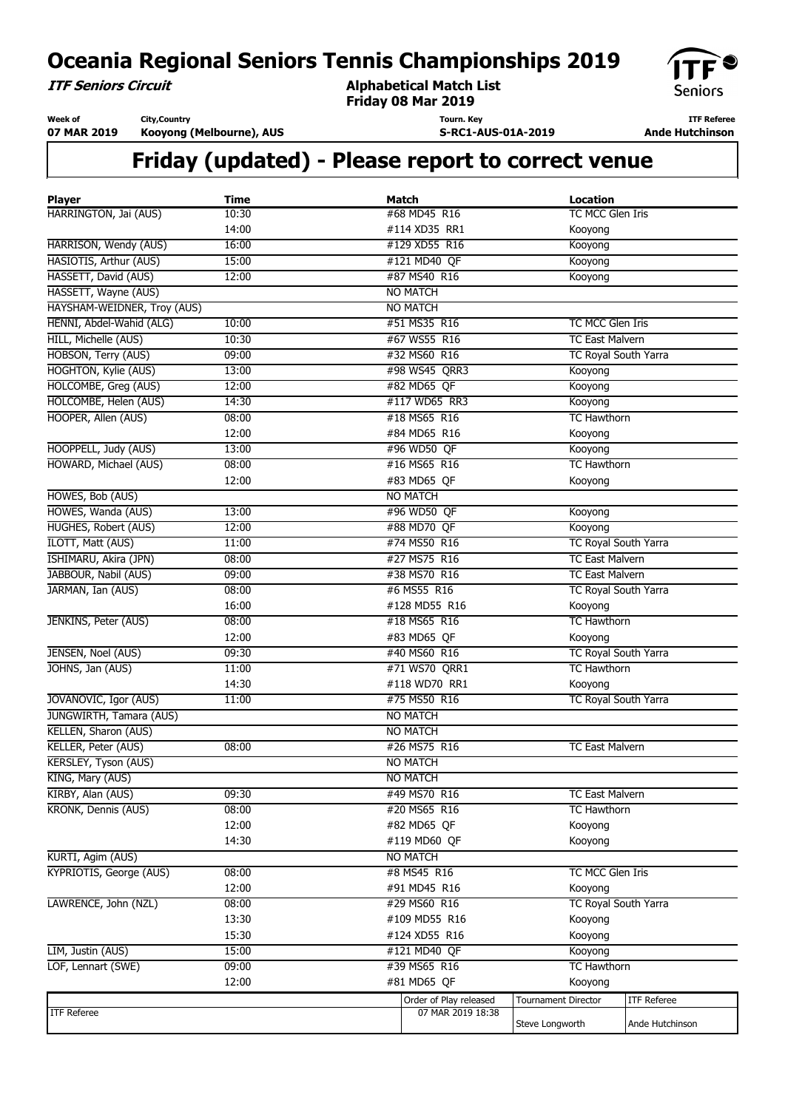**ITF Seniors Circuit**

**Alphabetical Match List Friday 08 Mar 2019**



**Week of 07 MAR 2019** **City,Country Kooyong (Melbourne), AUS**

**Tourn. Key S-RC1-AUS-01A-2019**

**ITF Referee Ande Hutchinson** 

| <b>Player</b>               | <b>Time</b> | <b>Match</b>           | <b>Location</b>             |                    |
|-----------------------------|-------------|------------------------|-----------------------------|--------------------|
| HARRINGTON, Jai (AUS)       | 10:30       | #68 MD45 R16           | TC MCC Glen Iris            |                    |
|                             | 14:00       | #114 XD35 RR1          | Kooyong                     |                    |
| HARRISON, Wendy (AUS)       | 16:00       | #129 XD55 R16          | Kooyong                     |                    |
| HASIOTIS, Arthur (AUS)      | 15:00       | #121 MD40 QF           | Kooyong                     |                    |
| HASSETT, David (AUS)        | 12:00       | #87 MS40 R16           | Kooyong                     |                    |
| HASSETT, Wayne (AUS)        |             | <b>NO MATCH</b>        |                             |                    |
| HAYSHAM-WEIDNER, Troy (AUS) |             | <b>NO MATCH</b>        |                             |                    |
| HENNI, Abdel-Wahid (ALG)    | 10:00       | #51 MS35 R16           | TC MCC Glen Iris            |                    |
| HILL, Michelle (AUS)        | 10:30       | #67 WS55 R16           | <b>TC East Malvern</b>      |                    |
| HOBSON, Terry (AUS)         | 09:00       | #32 MS60 R16           | TC Royal South Yarra        |                    |
| HOGHTON, Kylie (AUS)        | 13:00       | #98 WS45 QRR3          | Kooyong                     |                    |
| HOLCOMBE, Greg (AUS)        | 12:00       | #82 MD65 QF            | Kooyong                     |                    |
| HOLCOMBE, Helen (AUS)       | 14:30       | #117 WD65 RR3          | Kooyong                     |                    |
| HOOPER, Allen (AUS)         | 08:00       | #18 MS65 R16           | <b>TC Hawthorn</b>          |                    |
|                             | 12:00       | #84 MD65 R16           | Kooyong                     |                    |
| HOOPPELL, Judy (AUS)        | 13:00       | #96 WD50 QF            | Kooyong                     |                    |
| HOWARD, Michael (AUS)       | 08:00       | #16 MS65 R16           | <b>TC Hawthorn</b>          |                    |
|                             | 12:00       | #83 MD65 QF            | Kooyong                     |                    |
| HOWES, Bob (AUS)            |             | <b>NO MATCH</b>        |                             |                    |
| HOWES, Wanda (AUS)          | 13:00       | #96 WD50 QF            | Kooyong                     |                    |
| <b>HUGHES, Robert (AUS)</b> | 12:00       | #88 MD70 QF            | Kooyong                     |                    |
| ILOTT, Matt (AUS)           | 11:00       | #74 MS50 R16           | <b>TC Royal South Yarra</b> |                    |
| ISHIMARU, Akira (JPN)       | 08:00       | #27 MS75 R16           | <b>TC East Malvern</b>      |                    |
| JABBOUR, Nabil (AUS)        | 09:00       | #38 MS70 R16           | <b>TC East Malvern</b>      |                    |
| JARMAN, Ian (AUS)           | 08:00       | #6 MS55 R16            | TC Royal South Yarra        |                    |
|                             | 16:00       | #128 MD55 R16          | Kooyong                     |                    |
| JENKINS, Peter (AUS)        | 08:00       | #18 MS65 R16           | <b>TC Hawthorn</b>          |                    |
|                             | 12:00       | #83 MD65 QF            | Kooyong                     |                    |
| JENSEN, Noel (AUS)          | 09:30       | #40 MS60 R16           | TC Royal South Yarra        |                    |
| JOHNS, Jan (AUS)            | 11:00       | #71 WS70 QRR1          | <b>TC Hawthorn</b>          |                    |
|                             | 14:30       | #118 WD70 RR1          | Kooyong                     |                    |
| JOVANOVIC, Igor (AUS)       | 11:00       | #75 MS50 R16           | <b>TC Royal South Yarra</b> |                    |
| JUNGWIRTH, Tamara (AUS)     |             | <b>NO MATCH</b>        |                             |                    |
| KELLEN, Sharon (AUS)        |             | <b>NO MATCH</b>        |                             |                    |
| KELLER, Peter (AUS)         | 08:00       | #26 MS75 R16           | <b>TC East Malvern</b>      |                    |
| KERSLEY, Tyson (AUS)        |             | <b>NO MATCH</b>        |                             |                    |
| KING, Mary (AUS)            |             | <b>NO MATCH</b>        |                             |                    |
| KIRBY, Alan (AUS)           | 09:30       | #49 MS70 R16           | <b>TC East Malvern</b>      |                    |
| KRONK, Dennis (AUS)         | 08:00       | #20 MS65 R16           | <b>TC Hawthorn</b>          |                    |
|                             | 12:00       | #82 MD65 QF            | Kooyong                     |                    |
|                             | 14:30       | #119 MD60 QF           | Kooyong                     |                    |
| KURTI, Agim (AUS)           |             | <b>NO MATCH</b>        |                             |                    |
| KYPRIOTIS, George (AUS)     | 08:00       | #8 MS45 R16            | TC MCC Glen Iris            |                    |
|                             | 12:00       | #91 MD45 R16           | Kooyong                     |                    |
| LAWRENCE, John (NZL)        | 08:00       | #29 MS60 R16           | TC Royal South Yarra        |                    |
|                             | 13:30       | #109 MD55 R16          | Kooyong                     |                    |
|                             | 15:30       | #124 XD55 R16          | Kooyong                     |                    |
| LIM, Justin (AUS)           | 15:00       | #121 MD40 QF           | Kooyong                     |                    |
| LOF, Lennart (SWE)          | 09:00       | #39 MS65 R16           | <b>TC Hawthorn</b>          |                    |
|                             | 12:00       | #81 MD65 QF            | Kooyong                     |                    |
|                             |             | Order of Play released | <b>Tournament Director</b>  | <b>ITF Referee</b> |
| <b>ITF Referee</b>          |             | 07 MAR 2019 18:38      |                             |                    |
|                             |             |                        | Steve Longworth             | Ande Hutchinson    |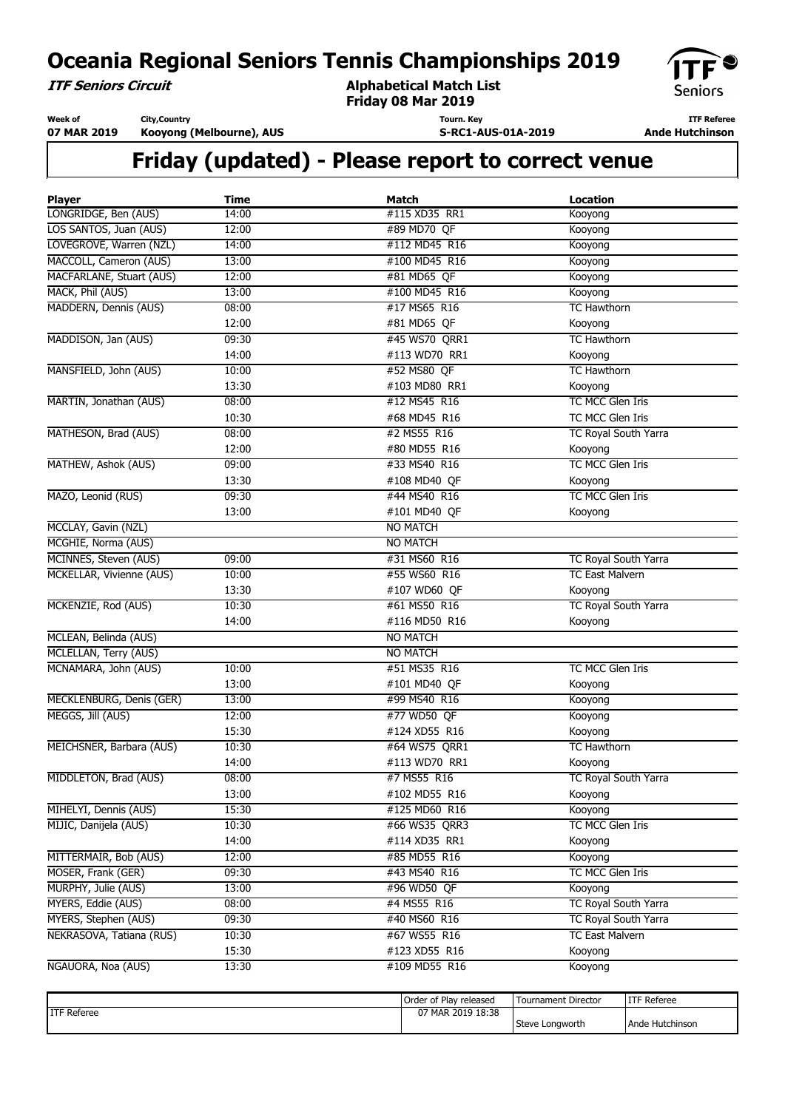**ITF Seniors Circuit**

**Alphabetical Match List Friday 08 Mar 2019**



**Week of 07 MAR 2019** **City,Country Kooyong (Melbourne), AUS**

**Tourn. Key S-RC1-AUS-01A-2019**

**ITF Referee Ande Hutchinson** 

| <b>Player</b>                   | <b>Time</b> | Match           | <b>Location</b>        |
|---------------------------------|-------------|-----------------|------------------------|
| LONGRIDGE, Ben (AUS)            | 14:00       | #115 XD35 RR1   | Kooyong                |
| LOS SANTOS, Juan (AUS)          | 12:00       | #89 MD70 QF     | Kooyong                |
| LOVEGROVE, Warren (NZL)         | 14:00       | #112 MD45 R16   | Kooyong                |
| MACCOLL, Cameron (AUS)          | 13:00       | #100 MD45 R16   | Kooyong                |
| <b>MACFARLANE, Stuart (AUS)</b> | 12:00       | #81 MD65 QF     | Kooyong                |
| MACK, Phil (AUS)                | 13:00       | #100 MD45 R16   | Kooyong                |
| MADDERN, Dennis (AUS)           | 08:00       | #17 MS65 R16    | <b>TC Hawthorn</b>     |
|                                 | 12:00       | #81 MD65 QF     | Kooyong                |
| MADDISON, Jan (AUS)             | 09:30       | #45 WS70 QRR1   | <b>TC Hawthorn</b>     |
|                                 | 14:00       | #113 WD70 RR1   | Kooyong                |
| MANSFIELD, John (AUS)           | 10:00       | #52 MS80 OF     | <b>TC Hawthorn</b>     |
|                                 | 13:30       | #103 MD80 RR1   | Kooyong                |
| MARTIN, Jonathan (AUS)          | 08:00       | #12 MS45 R16    | TC MCC Glen Iris       |
|                                 | 10:30       | #68 MD45 R16    | TC MCC Glen Iris       |
| MATHESON, Brad (AUS)            | 08:00       | #2 MS55 R16     | TC Royal South Yarra   |
|                                 | 12:00       | #80 MD55 R16    | Kooyong                |
| MATHEW, Ashok (AUS)             | 09:00       | #33 MS40 R16    | TC MCC Glen Iris       |
|                                 | 13:30       | #108 MD40 QF    | Kooyong                |
| MAZO, Leonid (RUS)              | 09:30       | #44 MS40 R16    | TC MCC Glen Iris       |
|                                 | 13:00       | #101 MD40 QF    | Kooyong                |
| MCCLAY, Gavin (NZL)             |             | <b>NO MATCH</b> |                        |
| MCGHIE, Norma (AUS)             |             | <b>NO MATCH</b> |                        |
| MCINNES, Steven (AUS)           | 09:00       | #31 MS60 R16    | TC Royal South Yarra   |
| MCKELLAR, Vivienne (AUS)        | 10:00       | #55 WS60 R16    | <b>TC East Malvern</b> |
|                                 | 13:30       | #107 WD60 QF    | Kooyong                |
| MCKENZIE, Rod (AUS)             | 10:30       | #61 MS50 R16    | TC Royal South Yarra   |
|                                 | 14:00       | #116 MD50 R16   | Kooyong                |
| MCLEAN, Belinda (AUS)           |             | <b>NO MATCH</b> |                        |
| MCLELLAN, Terry (AUS)           |             | <b>NO MATCH</b> |                        |
| MCNAMARA, John (AUS)            | 10:00       | #51 MS35 R16    | TC MCC Glen Iris       |
|                                 | 13:00       | #101 MD40 QF    | Kooyong                |
| MECKLENBURG, Denis (GER)        | 13:00       | #99 MS40 R16    | Kooyong                |
| MEGGS, Jill (AUS)               | 12:00       | #77 WD50 QF     | Kooyong                |
|                                 | 15:30       | #124 XD55 R16   | Kooyong                |
| MEICHSNER, Barbara (AUS)        | 10:30       | #64 WS75 QRR1   | <b>TC Hawthorn</b>     |
|                                 | 14:00       | #113 WD70 RR1   | Kooyong                |
| MIDDLETON, Brad (AUS)           | 08:00       | #7 MS55 R16     | TC Royal South Yarra   |
|                                 | 13:00       | #102 MD55 R16   | Kooyong                |
| MIHELYI, Dennis (AUS)           | 15:30       | #125 MD60 R16   | Kooyong                |
| MIJIC, Danijela (AUS)           | 10:30       | #66 WS35 QRR3   | TC MCC Glen Iris       |
|                                 | 14:00       | #114 XD35 RR1   | Kooyong                |
| MITTERMAIR, Bob (AUS)           | 12:00       | #85 MD55 R16    | Kooyong                |
| MOSER, Frank (GER)              | 09:30       | #43 MS40 R16    | TC MCC Glen Iris       |
| MURPHY, Julie (AUS)             | 13:00       | #96 WD50 QF     | Kooyong                |
| MYERS, Eddie (AUS)              | 08:00       | #4 MS55 R16     | TC Royal South Yarra   |
| MYERS, Stephen (AUS)            | 09:30       | #40 MS60 R16    | TC Royal South Yarra   |
| NEKRASOVA, Tatiana (RUS)        | 10:30       | #67 WS55 R16    | <b>TC East Malvern</b> |
|                                 | 15:30       | #123 XD55 R16   | Kooyong                |
| NGAUORA, Noa (AUS)              | 13:30       | #109 MD55 R16   | Kooyong                |
|                                 |             |                 |                        |

|                     | Order of Play released | Tournament Director | ITF Referee         |
|---------------------|------------------------|---------------------|---------------------|
| <b>IITF Referee</b> | MAR 2019 18:38         |                     |                     |
|                     |                        | Steve Longworth     | Hutchinson<br>⊥Ande |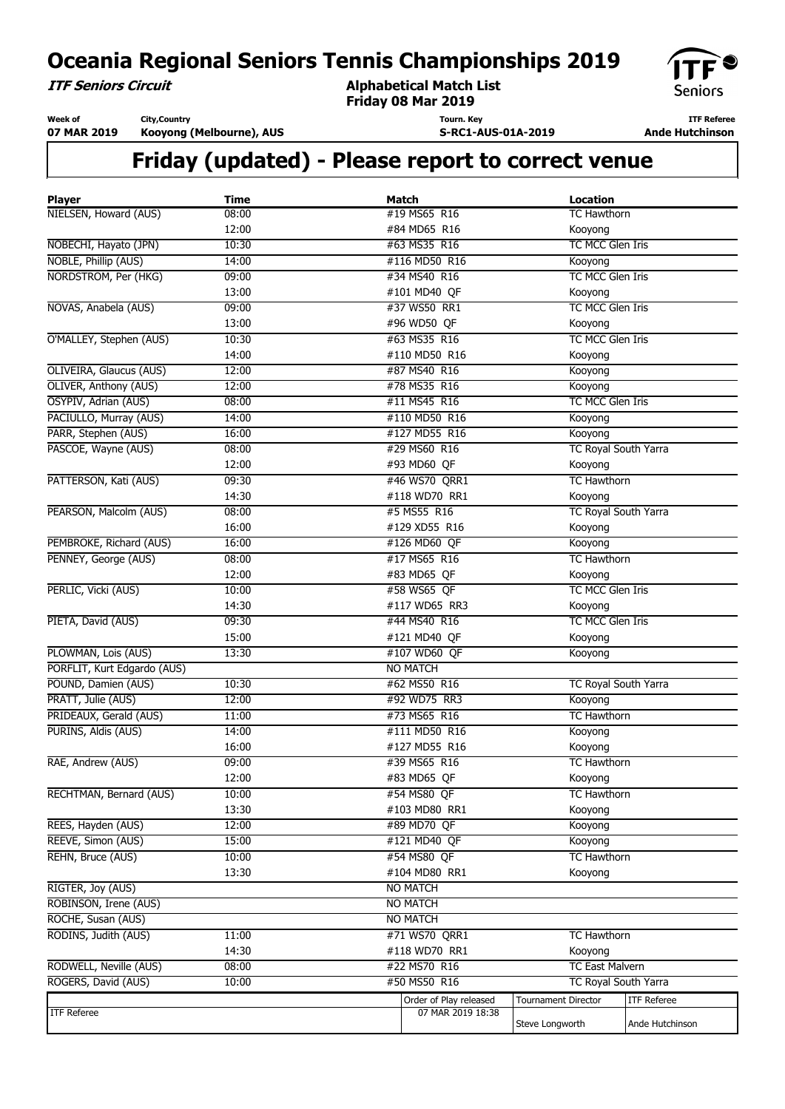**ITF Seniors Circuit**

**Alphabetical Match List Friday 08 Mar 2019**

**Tourn. Key**

**S-RC1-AUS-01A-2019**



**ITF Referee Ande Hutchinson** 

**Week of 07 MAR 2019 City,Country**

**Kooyong (Melbourne), AUS**

| <b>Player</b>                                 | <b>Time</b> | <b>Match</b>                                | <b>Location</b>            |                    |
|-----------------------------------------------|-------------|---------------------------------------------|----------------------------|--------------------|
| NIELSEN, Howard (AUS)                         | 08:00       | #19 MS65 R16                                | <b>TC Hawthorn</b>         |                    |
|                                               | 12:00       | #84 MD65 R16                                | Kooyong                    |                    |
| NOBECHI, Hayato (JPN)                         | 10:30       | #63 MS35 R16                                | TC MCC Glen Iris           |                    |
| NOBLE, Phillip (AUS)                          | 14:00       | #116 MD50 R16                               | Kooyong                    |                    |
| NORDSTROM, Per (HKG)                          | 09:00       | #34 MS40 R16                                | TC MCC Glen Iris           |                    |
|                                               | 13:00       | #101 MD40 QF                                | Kooyong                    |                    |
| NOVAS, Anabela (AUS)                          | 09:00       | #37 WS50 RR1                                | TC MCC Glen Iris           |                    |
|                                               | 13:00       | #96 WD50 QF                                 | Kooyong                    |                    |
| O'MALLEY, Stephen (AUS)                       | 10:30       | #63 MS35 R16                                | TC MCC Glen Iris           |                    |
|                                               | 14:00       | #110 MD50 R16                               | Kooyong                    |                    |
| OLIVEIRA, Glaucus (AUS)                       | 12:00       | #87 MS40 R16                                | Kooyong                    |                    |
| OLIVER, Anthony (AUS)                         | 12:00       | #78 MS35 R16                                | Kooyong                    |                    |
| OSYPIV, Adrian (AUS)                          | 08:00       | #11 MS45 R16                                | TC MCC Glen Iris           |                    |
| PACIULLO, Murray (AUS)                        | 14:00       | #110 MD50 R16                               | Kooyong                    |                    |
| PARR, Stephen (AUS)                           | 16:00       | #127 MD55 R16                               | Kooyong                    |                    |
| PASCOE, Wayne (AUS)                           | 08:00       | #29 MS60 R16                                | TC Royal South Yarra       |                    |
|                                               | 12:00       | #93 MD60 QF                                 | Kooyong                    |                    |
| PATTERSON, Kati (AUS)                         | 09:30       | #46 WS70 QRR1                               | <b>TC Hawthorn</b>         |                    |
|                                               | 14:30       | #118 WD70 RR1                               | Kooyong                    |                    |
| PEARSON, Malcolm (AUS)                        | 08:00       | #5 MS55 R16                                 | TC Royal South Yarra       |                    |
|                                               | 16:00       | #129 XD55 R16                               | Kooyong                    |                    |
| PEMBROKE, Richard (AUS)                       | 16:00       | #126 MD60 QF                                | Kooyong                    |                    |
| PENNEY, George (AUS)                          | 08:00       | #17 MS65 R16                                | <b>TC Hawthorn</b>         |                    |
|                                               | 12:00       | #83 MD65 QF                                 | Kooyong                    |                    |
| PERLIC, Vicki (AUS)                           | 10:00       | #58 WS65 QF                                 | TC MCC Glen Iris           |                    |
|                                               | 14:30       | #117 WD65 RR3                               | Kooyong                    |                    |
| PIETA, David (AUS)                            | 09:30       | #44 MS40 R16                                | TC MCC Glen Iris           |                    |
|                                               | 15:00       | #121 MD40 QF                                | Kooyong                    |                    |
| PLOWMAN, Lois (AUS)                           | 13:30       | #107 WD60 QF                                | Kooyong                    |                    |
| PORFLIT, Kurt Edgardo (AUS)                   |             | <b>NO MATCH</b>                             |                            |                    |
| POUND, Damien (AUS)                           | 10:30       | #62 MS50 R16                                | TC Royal South Yarra       |                    |
| PRATT, Julie (AUS)                            | 12:00       | #92 WD75 RR3                                | Kooyong                    |                    |
| PRIDEAUX, Gerald (AUS)                        | 11:00       | #73 MS65 R16                                | <b>TC Hawthorn</b>         |                    |
| PURINS, Aldis (AUS)                           | 14:00       | #111 MD50 R16                               | Kooyong                    |                    |
|                                               | 16:00       | #127 MD55 R16                               | Kooyong                    |                    |
| RAE, Andrew (AUS)                             | 09:00       | #39 MS65 R16                                | <b>TC Hawthorn</b>         |                    |
|                                               | 12:00       | #83 MD65 QF                                 | Kooyong                    |                    |
| RECHTMAN, Bernard (AUS)                       | 10:00       | #54 MS80 QF                                 | <b>TC Hawthorn</b>         |                    |
|                                               | 13:30       | #103 MD80 RR1                               | Kooyong                    |                    |
| REES, Hayden (AUS)                            | 12:00       | #89 MD70 OF                                 | Kooyong                    |                    |
| REEVE, Simon (AUS)                            | 15:00       | #121 MD40 QF                                | Kooyong                    |                    |
| REHN, Bruce (AUS)                             | 10:00       | #54 MS80 QF                                 | <b>TC Hawthorn</b>         |                    |
|                                               | 13:30       | #104 MD80 RR1                               | Kooyong                    |                    |
| RIGTER, Joy (AUS)                             |             | <b>NO MATCH</b>                             |                            |                    |
| ROBINSON, Irene (AUS)                         |             | <b>NO MATCH</b>                             |                            |                    |
| ROCHE, Susan (AUS)                            |             | <b>NO MATCH</b>                             |                            |                    |
| RODINS, Judith (AUS)                          | 11:00       | #71 WS70 QRR1                               | <b>TC Hawthorn</b>         |                    |
|                                               | 14:30       | #118 WD70 RR1                               | Kooyong                    |                    |
| RODWELL, Neville (AUS)<br>ROGERS, David (AUS) | 08:00       | #22 MS70 R16                                | <b>TC East Malvern</b>     |                    |
|                                               | 10:00       | #50 MS50 R16                                | TC Royal South Yarra       |                    |
| <b>ITF Referee</b>                            |             | Order of Play released<br>07 MAR 2019 18:38 | <b>Tournament Director</b> | <b>ITF Referee</b> |
|                                               |             |                                             | Steve Longworth            | Ande Hutchinson    |
|                                               |             |                                             |                            |                    |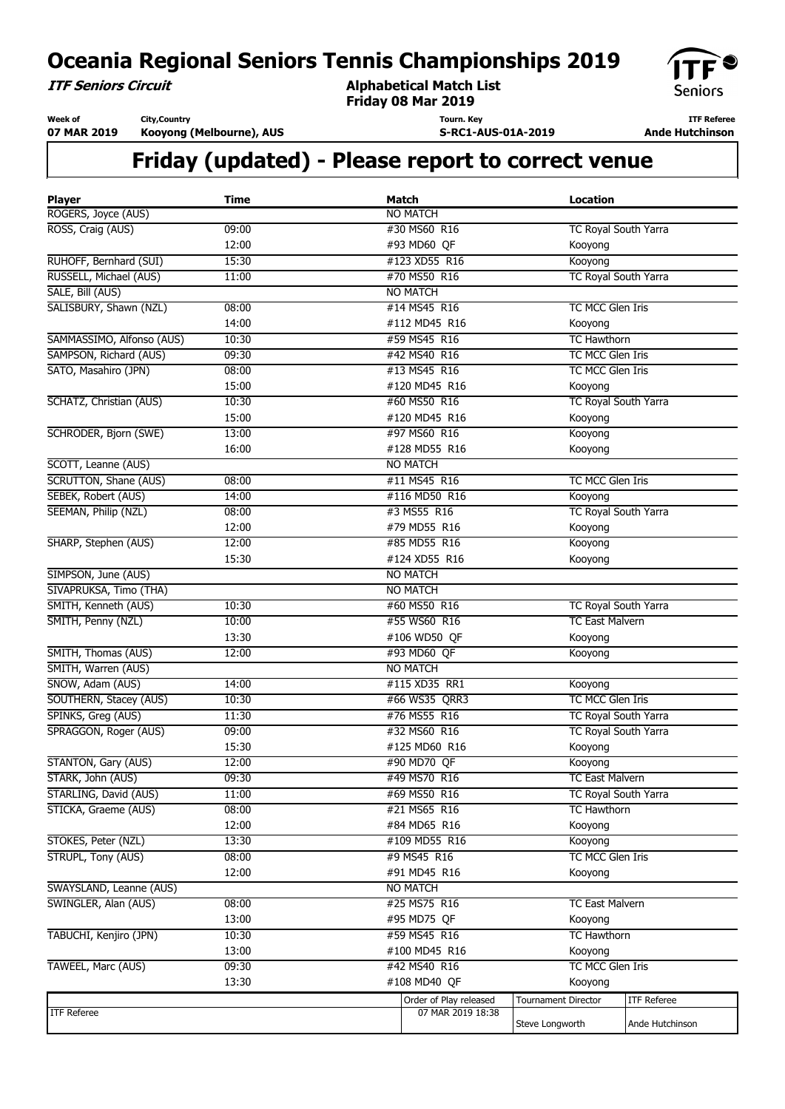**ITF Seniors Circuit**

**Alphabetical Match List Friday 08 Mar 2019**



**Week of 07 MAR 2019 City,Country**

**Kooyong (Melbourne), AUS**

**Tourn. Key S-RC1-AUS-01A-2019**

**ITF Referee Ande Hutchinson** 

| <b>Player</b>                | <b>Time</b> | <b>Match</b>           | <b>Location</b>                                     |                    |
|------------------------------|-------------|------------------------|-----------------------------------------------------|--------------------|
| ROGERS, Joyce (AUS)          |             | <b>NO MATCH</b>        |                                                     |                    |
| ROSS, Craig (AUS)            | 09:00       | #30 MS60 R16           | <b>TC Royal South Yarra</b>                         |                    |
|                              | 12:00       | #93 MD60 QF            | Kooyong                                             |                    |
| RUHOFF, Bernhard (SUI)       | 15:30       | #123 XD55 R16          | Kooyong                                             |                    |
| RUSSELL, Michael (AUS)       | 11:00       | #70 MS50 R16           | <b>TC Royal South Yarra</b>                         |                    |
| SALE, Bill (AUS)             |             | <b>NO MATCH</b>        |                                                     |                    |
| SALISBURY, Shawn (NZL)       | 08:00       | #14 MS45 R16           | TC MCC Glen Iris                                    |                    |
|                              | 14:00       | #112 MD45 R16          | Kooyong                                             |                    |
| SAMMASSIMO, Alfonso (AUS)    | 10:30       | #59 MS45 R16           | <b>TC Hawthorn</b>                                  |                    |
| SAMPSON, Richard (AUS)       | 09:30       | #42 MS40 R16           | TC MCC Glen Iris                                    |                    |
| SATO, Masahiro (JPN)         | 08:00       | #13 MS45 R16           | TC MCC Glen Iris                                    |                    |
|                              | 15:00       | #120 MD45 R16          | Kooyong                                             |                    |
| SCHATZ, Christian (AUS)      | 10:30       | #60 MS50 R16           | TC Royal South Yarra                                |                    |
|                              | 15:00       | #120 MD45 R16          | Kooyong                                             |                    |
| SCHRODER, Bjorn (SWE)        | 13:00       | #97 MS60 R16           | Kooyong                                             |                    |
|                              | 16:00       | #128 MD55 R16          | Kooyong                                             |                    |
| SCOTT, Leanne (AUS)          |             | <b>NO MATCH</b>        |                                                     |                    |
| <b>SCRUTTON, Shane (AUS)</b> | 08:00       | #11 MS45 R16           | <b>TC MCC Glen Iris</b>                             |                    |
| SEBEK, Robert (AUS)          | 14:00       | #116 MD50 R16          | Kooyong                                             |                    |
| SEEMAN, Philip (NZL)         | 08:00       | #3 MS55 R16            | TC Royal South Yarra                                |                    |
|                              | 12:00       | #79 MD55 R16           | Kooyong                                             |                    |
| SHARP, Stephen (AUS)         | 12:00       | #85 MD55 R16           | Kooyong                                             |                    |
|                              | 15:30       | #124 XD55 R16          | Kooyong                                             |                    |
| SIMPSON, June (AUS)          |             | <b>NO MATCH</b>        |                                                     |                    |
| SIVAPRUKSA, Timo (THA)       |             | <b>NO MATCH</b>        |                                                     |                    |
| SMITH, Kenneth (AUS)         | 10:30       | #60 MS50 R16           | TC Royal South Yarra                                |                    |
| SMITH, Penny (NZL)           | 10:00       | #55 WS60 R16           | <b>TC East Malvern</b>                              |                    |
|                              | 13:30       | #106 WD50 QF           | Kooyong                                             |                    |
|                              | 12:00       | #93 MD60 QF            |                                                     |                    |
| SMITH, Thomas (AUS)          |             |                        | Kooyong                                             |                    |
| SMITH, Warren (AUS)          |             | <b>NO MATCH</b>        |                                                     |                    |
| SNOW, Adam (AUS)             | 14:00       | #115 XD35 RR1          | Kooyong<br>TC MCC Glen Iris                         |                    |
| SOUTHERN, Stacey (AUS)       | 10:30       | #66 WS35 QRR3          |                                                     |                    |
| SPINKS, Greg (AUS)           | 11:30       | #76 MS55 R16           | TC Royal South Yarra<br><b>TC Royal South Yarra</b> |                    |
| SPRAGGON, Roger (AUS)        | 09:00       | #32 MS60 R16           |                                                     |                    |
|                              | 15:30       | #125 MD60 R16          | Kooyong                                             |                    |
| STANTON, Gary (AUS)          | 12:00       | #90 MD70 QF            | Kooyong                                             |                    |
| STARK, John (AUS)            | 09:30       | #49 MS70 R16           | <b>TC East Malvern</b>                              |                    |
| STARLING, David (AUS)        | 11:00       | #69 MS50 R16           | TC Royal South Yarra                                |                    |
| STICKA, Graeme (AUS)         | 08:00       | #21 MS65 R16           | <b>TC Hawthorn</b>                                  |                    |
|                              | 12:00       | #84 MD65 R16           | Kooyong                                             |                    |
| STOKES, Peter (NZL)          | 13:30       | #109 MD55 R16          | Kooyong                                             |                    |
| STRUPL, Tony (AUS)           | 08:00       | #9 MS45 R16            | TC MCC Glen Iris                                    |                    |
|                              | 12:00       | #91 MD45 R16           | Kooyong                                             |                    |
| SWAYSLAND, Leanne (AUS)      |             | <b>NO MATCH</b>        |                                                     |                    |
| SWINGLER, Alan (AUS)         | 08:00       | #25 MS75 R16           | <b>TC East Malvern</b>                              |                    |
|                              | 13:00       | #95 MD75 QF            | Kooyong                                             |                    |
| TABUCHI, Kenjiro (JPN)       | 10:30       | #59 MS45 R16           | <b>TC Hawthorn</b>                                  |                    |
|                              | 13:00       | #100 MD45 R16          | Kooyong                                             |                    |
| TAWEEL, Marc (AUS)           | 09:30       | #42 MS40 R16           | TC MCC Glen Iris                                    |                    |
|                              | 13:30       | #108 MD40 QF           | Kooyong                                             |                    |
|                              |             | Order of Play released | <b>Tournament Director</b>                          | <b>ITF Referee</b> |
| <b>ITF Referee</b>           |             | 07 MAR 2019 18:38      |                                                     |                    |
|                              |             |                        | Steve Longworth                                     | Ande Hutchinson    |